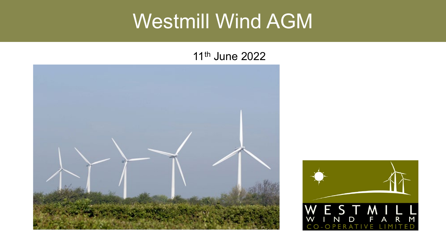### Westmill Wind AGM

#### 11th June 2022



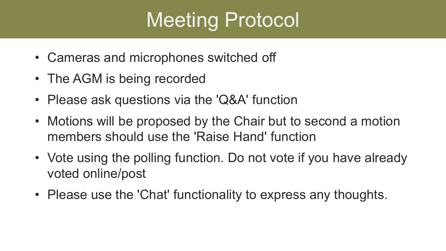## Meeting Protocol

- Cameras and microphones switched off
- The AGM is being recorded
- Please ask questions via the 'Q&A' function
- Motions will be proposed by the Chair but to second a motion members should use the 'Raise Hand' function
- Vote using the polling function. Do not vote if you have already voted online/post
- Please use the 'Chat' functionality to express any thoughts.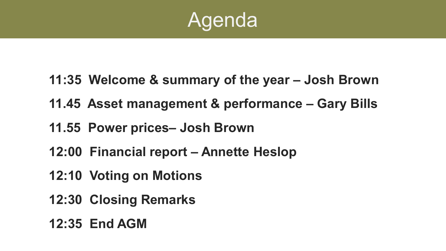

- **11:35 Welcome & summary of the year – Josh Brown**
- **11.45 Asset management & performance – Gary Bills**
- **11.55 Power prices– Josh Brown**
- **12:00 Financial report – Annette Heslop**
- **12:10 Voting on Motions**
- **12:30 Closing Remarks**
- **12:35 End AGM**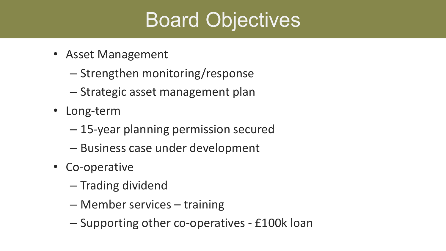## Board Objectives

- Asset Management
	- Strengthen monitoring/response
	- Strategic asset management plan
- Long-term
	- 15-year planning permission secured
	- Business case under development
- Co-operative
	- Trading dividend
	- Member services training
	- Supporting other co-operatives £100k loan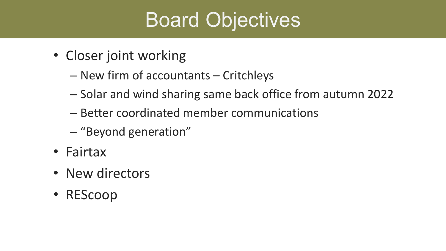## Board Objectives

- Closer joint working
	- New firm of accountants Critchleys
	- Solar and wind sharing same back office from autumn 2022
	- Better coordinated member communications
	- "Beyond generation"
- Fairtax
- New directors
- REScoop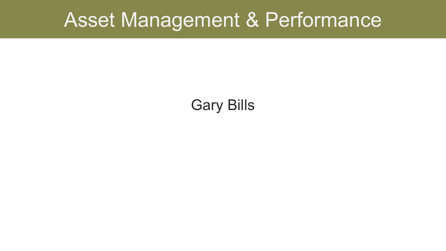#### Asset Management & Performance

#### Gary Bills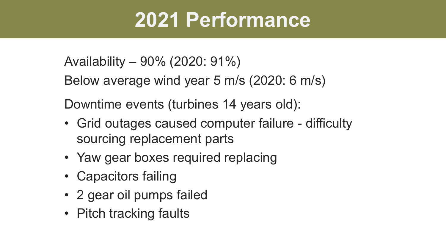## **2021 Performance**

Availability – 90% (2020: 91%)

Below average wind year 5 m/s (2020: 6 m/s)

Downtime events (turbines 14 years old):

- Grid outages caused computer failure difficulty sourcing replacement parts
- Yaw gear boxes required replacing
- Capacitors failing
- 2 gear oil pumps failed
- Pitch tracking faults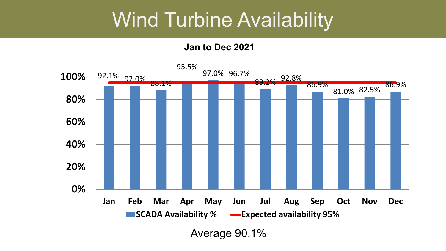#### Wind Turbine Availability

**Jan to Dec 2021**

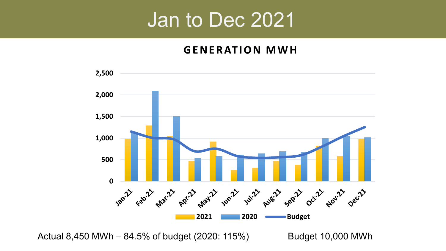#### Jan to Dec 2021

#### **GENERATION MWH**



Actual 8,450 MWh – 84.5% of budget (2020: 115%) Budget 10,000 MWh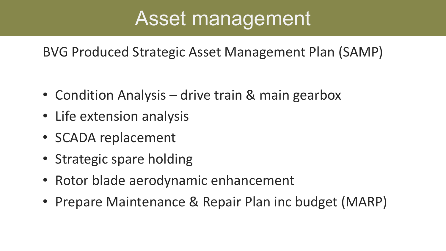## Asset management

BVG Produced Strategic Asset Management Plan (SAMP)

- Condition Analysis drive train & main gearbox
- Life extension analysis
- SCADA replacement
- Strategic spare holding
- Rotor blade aerodynamic enhancement
- Prepare Maintenance & Repair Plan inc budget (MARP)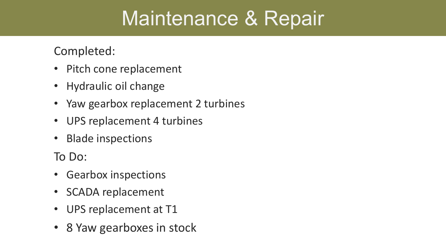## Maintenance & Repair

Completed:

- Pitch cone replacement
- Hydraulic oil change
- Yaw gearbox replacement 2 turbines
- UPS replacement 4 turbines
- Blade inspections

To Do:

- Gearbox inspections
- SCADA replacement
- UPS replacement at T1
- 8 Yaw gearboxes in stock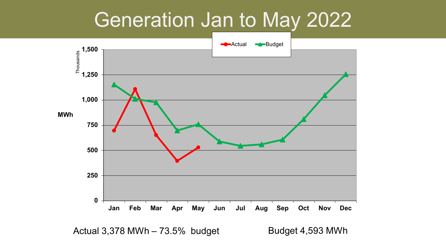#### Generation Jan to May 2022



Actual 3,378 MWh – 73.5% budget Budget 4,593 MWh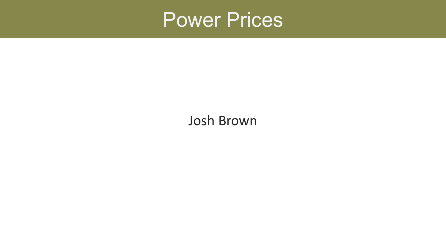

#### Josh Brown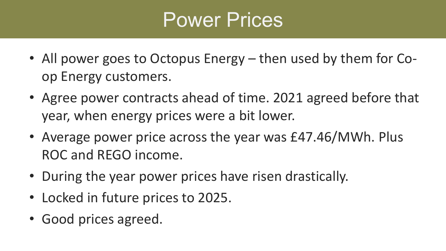## Power Prices

- All power goes to Octopus Energy then used by them for Coop Energy customers.
- Agree power contracts ahead of time. 2021 agreed before that year, when energy prices were a bit lower.
- Average power price across the year was £47.46/MWh. Plus ROC and REGO income.
- During the year power prices have risen drastically.
- Locked in future prices to 2025.
- Good prices agreed.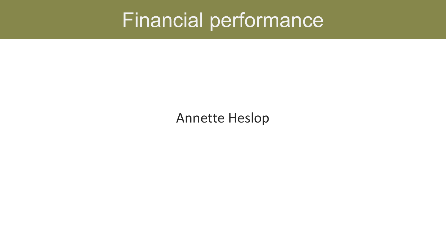## Financial performance

#### Annette Heslop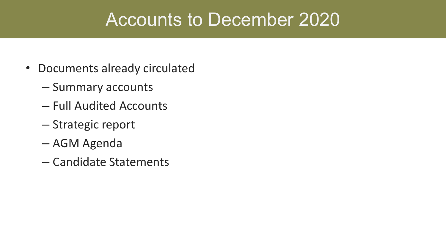#### Accounts to December 2020

- Documents already circulated
	- Summary accounts
	- Full Audited Accounts
	- Strategic report
	- AGM Agenda
	- Candidate Statements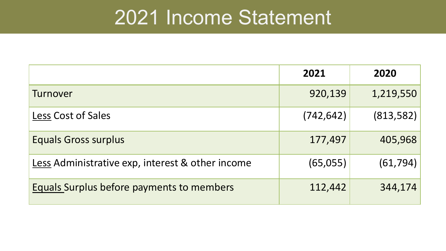#### 2021 Income Statement

|                                                  | 2021       | 2020       |
|--------------------------------------------------|------------|------------|
| Turnover                                         | 920,139    | 1,219,550  |
| Less Cost of Sales                               | (742, 642) | (813, 582) |
| <b>Equals Gross surplus</b>                      | 177,497    | 405,968    |
| Less Administrative exp, interest & other income | (65,055)   | (61, 794)  |
| Equals Surplus before payments to members        | 112,442    | 344,174    |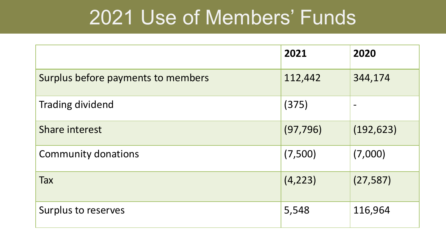## 2021 Use of Members' Funds

|                                    | 2021      | 2020                     |
|------------------------------------|-----------|--------------------------|
| Surplus before payments to members | 112,442   | 344,174                  |
| <b>Trading dividend</b>            | (375)     | $\overline{\phantom{0}}$ |
| Share interest                     | (97, 796) | (192, 623)               |
| <b>Community donations</b>         | (7,500)   | (7,000)                  |
| Tax                                | (4, 223)  | (27, 587)                |
| Surplus to reserves                | 5,548     | 116,964                  |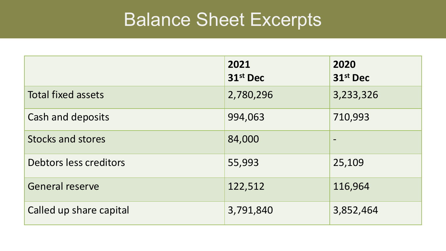#### Balance Sheet Excerpts

|                           | 2021<br>31st Dec | 2020<br>31st Dec             |
|---------------------------|------------------|------------------------------|
| <b>Total fixed assets</b> | 2,780,296        | 3,233,326                    |
| Cash and deposits         | 994,063          | 710,993                      |
| <b>Stocks and stores</b>  | 84,000           | $\qquad \qquad \blacksquare$ |
| Debtors less creditors    | 55,993           | 25,109                       |
| <b>General reserve</b>    | 122,512          | 116,964                      |
| Called up share capital   | 3,791,840        | 3,852,464                    |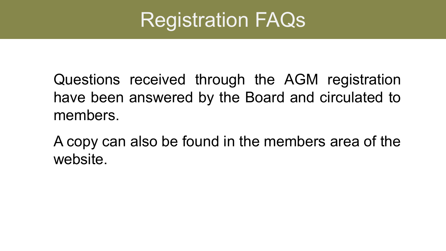## Registration FAQs

Questions received through the AGM registration have been answered by the Board and circulated to members.

A copy can also be found in the members area of the website.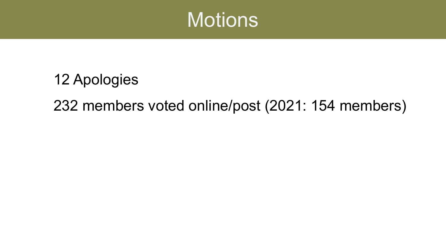

## 12 Apologies 232 members voted online/post (2021: 154 members)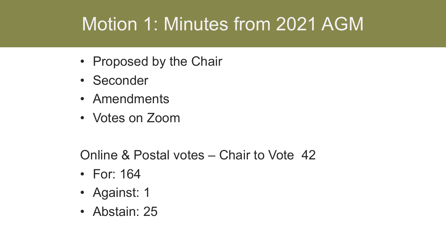### Motion 1: Minutes from 2021 AGM

- Proposed by the Chair
- Seconder
- Amendments
- Votes on Zoom

Online & Postal votes – Chair to Vote 42

- For: 164
- Against: 1
- Abstain: 25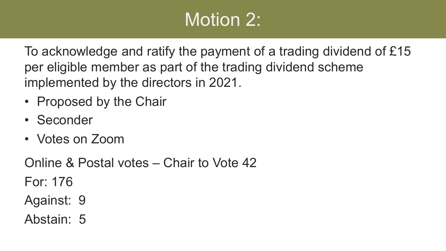#### Motion 2:

To acknowledge and ratify the payment of a trading dividend of £15 per eligible member as part of the trading dividend scheme implemented by the directors in 2021.

- Proposed by the Chair
- Seconder
- Votes on Zoom

Online & Postal votes – Chair to Vote 42 For: 176

- Against: 9
- Abstain: 5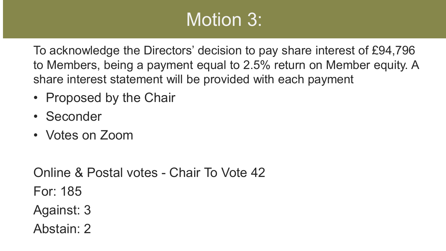### Motion 3:

To acknowledge the Directors' decision to pay share interest of £94,796 to Members, being a payment equal to 2.5% return on Member equity. A share interest statement will be provided with each payment

- Proposed by the Chair
- Seconder
- Votes on Zoom

Online & Postal votes - Chair To Vote 42 For: 185 Against: 3 Abstain: 2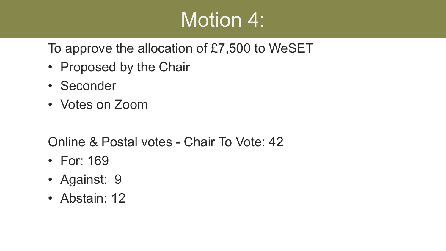## Motion 4:

To approve the allocation of £7,500 to WeSET

- Proposed by the Chair
- Seconder
- Votes on Zoom

Online & Postal votes - Chair To Vote: 42

- For: 169
- Against: 9
- Abstain: 12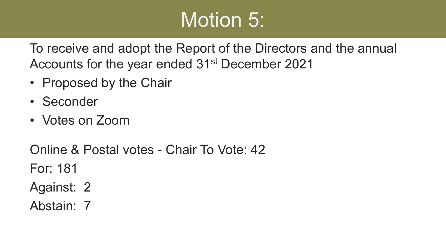## Motion 5:

To receive and adopt the Report of the Directors and the annual Accounts for the year ended 31st December 2021

- Proposed by the Chair
- Seconder
- Votes on Zoom

Online & Postal votes - Chair To Vote: 42 For: 181 Against: 2 Abstain: 7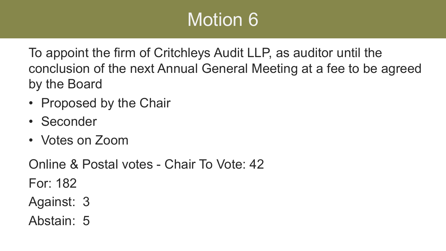To appoint the firm of Critchleys Audit LLP, as auditor until the conclusion of the next Annual General Meeting at a fee to be agreed by the Board

- Proposed by the Chair
- Seconder
- Votes on Zoom

Online & Postal votes - Chair To Vote: 42 For: 182 Against: 3

Abstain: 5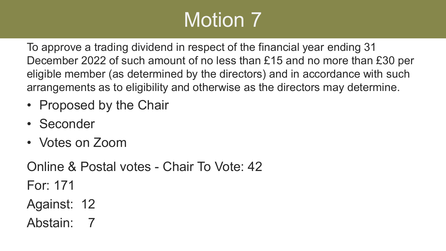To approve a trading dividend in respect of the financial year ending 31 December 2022 of such amount of no less than £15 and no more than £30 per eligible member (as determined by the directors) and in accordance with such arrangements as to eligibility and otherwise as the directors may determine.

- Proposed by the Chair
- Seconder
- Votes on Zoom

Online & Postal votes - Chair To Vote: 42

For: 171

- Against: 12
- Abstain: 7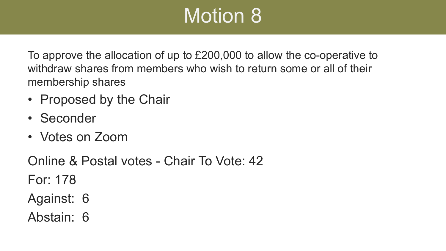To approve the allocation of up to £200,000 to allow the co-operative to withdraw shares from members who wish to return some or all of their membership shares

- Proposed by the Chair
- Seconder
- Votes on Zoom

Online & Postal votes - Chair To Vote: 42 For: 178

- Against: 6
- Abstain: 6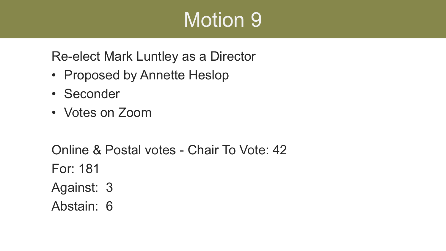Re-elect Mark Luntley as a Director

- Proposed by Annette Heslop
- Seconder
- Votes on Zoom

Online & Postal votes - Chair To Vote: 42 For: 181 Against: 3 Abstain: 6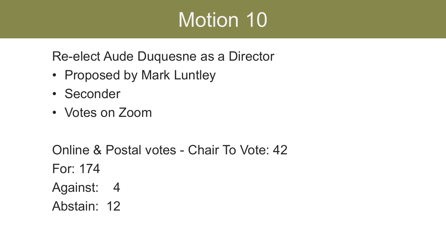Re-elect Aude Duquesne as a Director

- Proposed by Mark Luntley
- Seconder
- Votes on Zoom

Online & Postal votes - Chair To Vote: 42 For: 174 Against: 4 Abstain: 12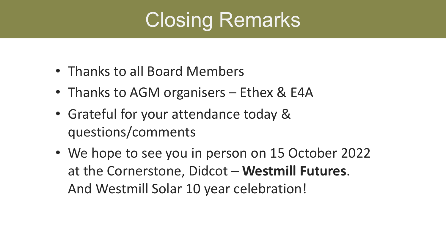## Closing Remarks

- Thanks to all Board Members
- Thanks to AGM organisers Ethex & E4A
- Grateful for your attendance today & questions/comments
- We hope to see you in person on 15 October 2022 at the Cornerstone, Didcot – **Westmill Futures**. And Westmill Solar 10 year celebration!